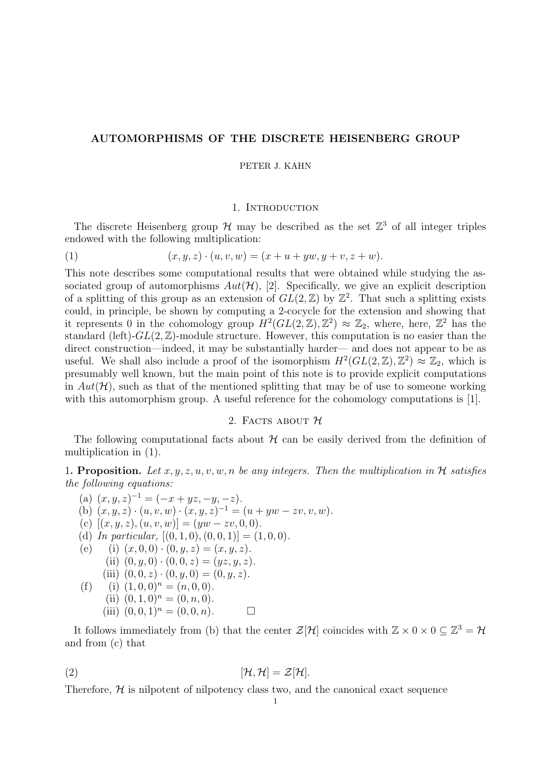## AUTOMORPHISMS OF THE DISCRETE HEISENBERG GROUP

#### PETER J. KAHN

#### 1. INTRODUCTION

The discrete Heisenberg group  $\mathcal H$  may be described as the set  $\mathbb Z^3$  of all integer triples endowed with the following multiplication:

(1) 
$$
(x, y, z) \cdot (u, v, w) = (x + u + yw, y + v, z + w).
$$

This note describes some computational results that were obtained while studying the associated group of automorphisms  $Aut(\mathcal{H})$ , [2]. Specifically, we give an explicit description of a splitting of this group as an extension of  $GL(2,\mathbb{Z})$  by  $\mathbb{Z}^2$ . That such a splitting exists could, in principle, be shown by computing a 2-cocycle for the extension and showing that it represents 0 in the cohomology group  $H^2(GL(2,\mathbb{Z}),\mathbb{Z}^2) \approx \mathbb{Z}_2$ , where, here,  $\mathbb{Z}^2$  has the standard (left)- $GL(2,\mathbb{Z})$ -module structure. However, this computation is no easier than the direct construction—indeed, it may be substantially harder— and does not appear to be as useful. We shall also include a proof of the isomorphism  $H^2(GL(2,\mathbb{Z}),\mathbb{Z}^2) \approx \mathbb{Z}_2$ , which is presumably well known, but the main point of this note is to provide explicit computations in  $Aut(\mathcal{H})$ , such as that of the mentioned splitting that may be of use to someone working with this automorphism group. A useful reference for the cohomology computations is [1].

## 2. FACTS ABOUT  $H$

The following computational facts about  $H$  can be easily derived from the definition of multiplication in (1).

1. Proposition. Let x, y, z, u, v, w, n be any integers. Then the multiplication in  $\mathcal H$  satisfies the following equations:

(a)  $(x, y, z)^{-1} = (-x + yz, -y, -z).$ (b)  $(x, y, z) \cdot (u, v, w) \cdot (x, y, z)^{-1} = (u + yw - zv, v, w).$ (c)  $[(x, y, z), (u, v, w)] = (yw - zv, 0, 0).$ (d) In particular,  $[(0,1,0), (0,0,1)] = (1,0,0).$ (e) (i)  $(x, 0, 0) \cdot (0, y, z) = (x, y, z).$ (ii)  $(0, y, 0) \cdot (0, 0, z) = (yz, y, z).$ (iii)  $(0, 0, z) \cdot (0, y, 0) = (0, y, z).$ (f) (i)  $(1, 0, 0)^n = (n, 0, 0)$ . (ii)  $(0, 1, 0)^n = (0, n, 0)$ . (iii)  $(0, 0, 1)^n = (0, 0, n).$ 

It follows immediately from (b) that the center  $\mathcal{Z}[\mathcal{H}]$  coincides with  $\mathbb{Z} \times 0 \times 0 \subseteq \mathbb{Z}^3 = \mathcal{H}$ and from (c) that

$$
[\mathcal{H},\mathcal{H}]=\mathcal{Z}[\mathcal{H}].
$$

Therefore,  $H$  is nilpotent of nilpotency class two, and the canonical exact sequence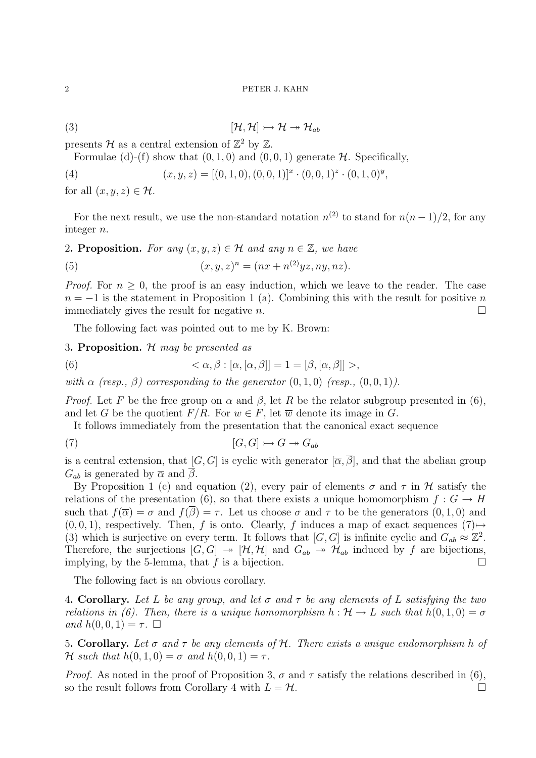#### 2 PETER J. KAHN

$$
(\mathbf{3}) \qquad [\mathcal{H}, \mathcal{H}] \rightarrowtail \mathcal{H} \twoheadrightarrow \mathcal{H}_{ab}
$$

presents H as a central extension of  $\mathbb{Z}^2$  by  $\mathbb{Z}$ .

Formulae (d)-(f) show that  $(0, 1, 0)$  and  $(0, 0, 1)$  generate H. Specifically,

(4) 
$$
(x, y, z) = [(0, 1, 0), (0, 0, 1)]^{x} \cdot (0, 0, 1)^{z} \cdot (0, 1, 0)^{y},
$$

for all  $(x, y, z) \in \mathcal{H}$ .

For the next result, we use the non-standard notation  $n^{(2)}$  to stand for  $n(n-1)/2$ , for any integer n.

2. Proposition. For any  $(x, y, z) \in \mathcal{H}$  and any  $n \in \mathbb{Z}$ , we have

(5) 
$$
(x, y, z)^n = (nx + n^{(2)}yz, ny, nz).
$$

*Proof.* For  $n > 0$ , the proof is an easy induction, which we leave to the reader. The case  $n = -1$  is the statement in Proposition 1 (a). Combining this with the result for positive n immediately gives the result for negative n.

The following fact was pointed out to me by K. Brown:

3. Proposition.  $H$  may be presented as

(6) 
$$
\langle \alpha, \beta : [\alpha, [\alpha, \beta]] = 1 = [\beta, [\alpha, \beta]] \rangle,
$$

with  $\alpha$  (resp.,  $\beta$ ) corresponding to the generator  $(0, 1, 0)$  (resp.,  $(0, 0, 1)$ ).

*Proof.* Let F be the free group on  $\alpha$  and  $\beta$ , let R be the relator subgroup presented in (6), and let G be the quotient  $F/R$ . For  $w \in F$ , let  $\overline{w}$  denote its image in G.

It follows immediately from the presentation that the canonical exact sequence

$$
[G, G] \rightarrowtail G \twoheadrightarrow G_{ab}
$$

is a central extension, that  $[G, G]$  is cyclic with generator  $[\overline{\alpha}, \overline{\beta}]$ , and that the abelian group  $G_{ab}$  is generated by  $\overline{\alpha}$  and  $\overline{\beta}$ .

By Proposition 1 (c) and equation (2), every pair of elements  $\sigma$  and  $\tau$  in H satisfy the relations of the presentation (6), so that there exists a unique homomorphism  $f: G \to H$ such that  $f(\overline{\alpha}) = \sigma$  and  $f(\beta) = \tau$ . Let us choose  $\sigma$  and  $\tau$  to be the generators  $(0, 1, 0)$  and  $(0, 0, 1)$ , respectively. Then, f is onto. Clearly, f induces a map of exact sequences  $(7) \rightarrow$ (3) which is surjective on every term. It follows that  $[G, G]$  is infinite cyclic and  $G_{ab} \approx \mathbb{Z}^2$ . Therefore, the surjections  $[G, G] \rightarrow [\mathcal{H}, \mathcal{H}]$  and  $G_{ab} \rightarrow \mathcal{H}_{ab}$  induced by f are bijections, implying, by the 5-lemma, that f is a bijection.

The following fact is an obvious corollary.

4. Corollary. Let L be any group, and let  $\sigma$  and  $\tau$  be any elements of L satisfying the two relations in (6). Then, there is a unique homomorphism  $h : \mathcal{H} \to L$  such that  $h(0, 1, 0) = \sigma$ and  $h(0,0,1) = \tau$ .

5. Corollary. Let  $\sigma$  and  $\tau$  be any elements of H. There exists a unique endomorphism h of H such that  $h(0, 1, 0) = \sigma$  and  $h(0, 0, 1) = \tau$ .

*Proof.* As noted in the proof of Proposition 3,  $\sigma$  and  $\tau$  satisfy the relations described in (6), so the result follows from Corollary 4 with  $L = H$ .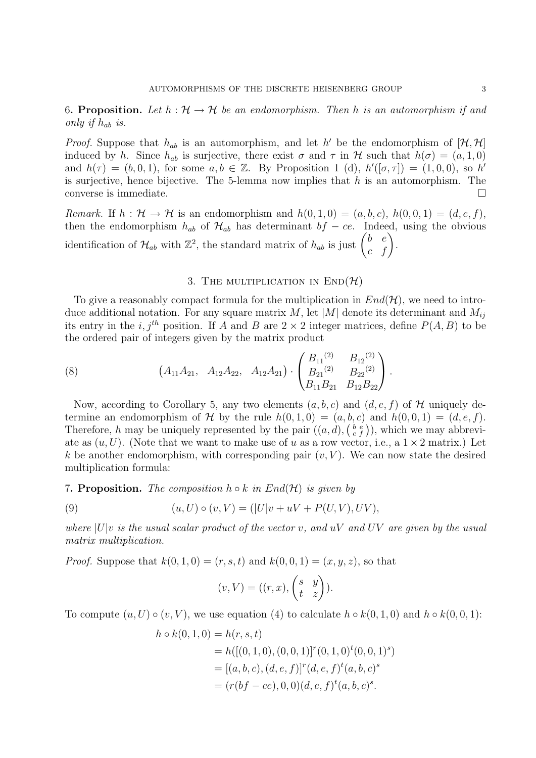6. Proposition. Let  $h : \mathcal{H} \to \mathcal{H}$  be an endomorphism. Then h is an automorphism if and only if  $h_{ab}$  is.

*Proof.* Suppose that  $h_{ab}$  is an automorphism, and let h' be the endomorphism of  $[\mathcal{H}, \mathcal{H}]$ induced by h. Since  $h_{ab}$  is surjective, there exist  $\sigma$  and  $\tau$  in  $\mathcal H$  such that  $h(\sigma) = (a, 1, 0)$ and  $h(\tau) = (b, 0, 1)$ , for some  $a, b \in \mathbb{Z}$ . By Proposition 1 (d),  $h'([\sigma, \tau]) = (1, 0, 0)$ , so  $h'$ is surjective, hence bijective. The 5-lemma now implies that  $h$  is an automorphism. The converse is immediate.

Remark. If  $h : \mathcal{H} \to \mathcal{H}$  is an endomorphism and  $h(0,1,0) = (a, b, c), h(0,0,1) = (d, e, f),$ then the endomorphism  $h_{ab}$  of  $\mathcal{H}_{ab}$  has determinant  $bf - ce$ . Indeed, using the obvious identification of  $\mathcal{H}_{ab}$  with  $\mathbb{Z}^2$ , the standard matrix of  $h_{ab}$  is just  $\begin{pmatrix} b & e \\ c & f \end{pmatrix}$ .

### 3. THE MULTIPLICATION IN  $\text{END}(\mathcal{H})$

To give a reasonably compact formula for the multiplication in  $End(\mathcal{H})$ , we need to introduce additional notation. For any square matrix M, let |M| denote its determinant and  $M_{ij}$ its entry in the i, j<sup>th</sup> position. If A and B are  $2 \times 2$  integer matrices, define  $P(A, B)$  to be the ordered pair of integers given by the matrix product

(8) 
$$
(A_{11}A_{21}, A_{12}A_{22}, A_{12}A_{21}) \cdot \begin{pmatrix} B_{11}^{(2)} & B_{12}^{(2)} \ B_{21}^{(2)} & B_{22}^{(2)} \ B_{11}B_{21} & B_{12}B_{22} \end{pmatrix}.
$$

Now, according to Corollary 5, any two elements  $(a, b, c)$  and  $(d, e, f)$  of H uniquely determine an endomorphism of H by the rule  $h(0, 1, 0) = (a, b, c)$  and  $h(0, 0, 1) = (d, e, f)$ . Therefore, h may be uniquely represented by the pair  $((a, d), (\begin{smallmatrix} b & e \\ c & f \end{smallmatrix}))$ , which we may abbreviate as  $(u, U)$ . (Note that we want to make use of u as a row vector, i.e., a  $1 \times 2$  matrix.) Let k be another endomorphism, with corresponding pair  $(v, V)$ . We can now state the desired multiplication formula:

### 7. Proposition. The composition  $h \circ k$  in  $End(H)$  is given by

(9) 
$$
(u, U) \circ (v, V) = (|U|v + uV + P(U, V), UV),
$$

where  $|U|v$  is the usual scalar product of the vector v, and uV and UV are given by the usual matrix multiplication.

*Proof.* Suppose that  $k(0, 1, 0) = (r, s, t)$  and  $k(0, 0, 1) = (x, y, z)$ , so that

$$
(v, V) = ((r, x), \begin{pmatrix} s & y \\ t & z \end{pmatrix}).
$$

To compute  $(u, U) \circ (v, V)$ , we use equation (4) to calculate  $h \circ k(0, 1, 0)$  and  $h \circ k(0, 0, 1)$ :

$$
h \circ k(0, 1, 0) = h(r, s, t)
$$
  
=  $h([(0, 1, 0), (0, 0, 1)]^r(0, 1, 0)^t(0, 0, 1)^s)$   
=  $[(a, b, c), (d, e, f)]^r(d, e, f)^t(a, b, c)^s$   
=  $(r(bf - ce), 0, 0)(d, e, f)^t(a, b, c)^s$ .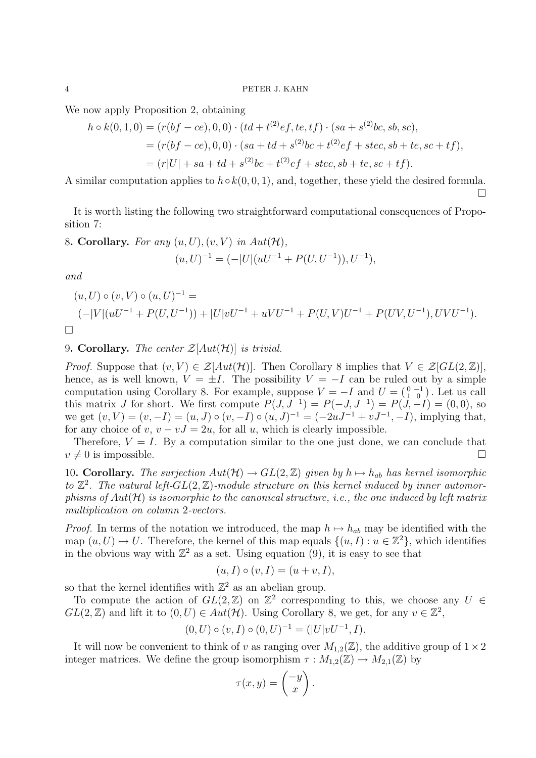We now apply Proposition 2, obtaining

$$
h \circ k(0,1,0) = (r(bf-ce), 0,0) \cdot (td + t^{(2)}ef, te, tf) \cdot (sa + s^{(2)}bc, sb, sc),
$$
  
=  $(r(bf-ce), 0,0) \cdot (sa + td + s^{(2)}bc + t^{(2)}ef + stec, sb + te, sc + tf),$   
=  $(r|U| + sa + td + s^{(2)}bc + t^{(2)}ef + stec, sb + te, sc + tf).$ 

A similar computation applies to  $h \circ k(0, 0, 1)$ , and, together, these yield the desired formula.

 $\Box$ 

It is worth listing the following two straightforward computational consequences of Proposition 7:

8. Corollary. For any  $(u, U), (v, V)$  in  $Aut(\mathcal{H}),$ 

$$
(u, U)^{-1} = (-|U|(uU^{-1} + P(U, U^{-1})), U^{-1}),
$$

and

$$
(u, U) \circ (v, V) \circ (u, U)^{-1} =
$$
  

$$
(-|V|(uU^{-1} + P(U, U^{-1})) + |U|vU^{-1} + uVU^{-1} + P(U, V)U^{-1} + P(UV, U^{-1}), UVU^{-1}).
$$

# 9. Corollary. The center  $\mathcal{Z}[Aut(\mathcal{H})]$  is trivial.

*Proof.* Suppose that  $(v, V) \in \mathcal{Z}[Aut(\mathcal{H})]$ . Then Corollary 8 implies that  $V \in \mathcal{Z}[GL(2, \mathbb{Z})]$ , hence, as is well known,  $V = \pm I$ . The possibility  $V = -I$  can be ruled out by a simple computation using Corollary 8. For example, suppose  $V = -I$  and  $U = \begin{pmatrix} 0 & -1 \\ 1 & 0 \end{pmatrix}$ . Let us call this matrix J for short. We first compute  $P(J, J^{-1}) = P(-J, J^{-1}) = P(J, -I) = (0, 0)$ , so we get  $(v, V) = (v, -I) = (u, J) \circ (v, -I) \circ (u, J)^{-1} = (-2uJ^{-1} + vJ^{-1}, -I)$ , implying that, for any choice of v,  $v - vJ = 2u$ , for all u, which is clearly impossible.

Therefore,  $V = I$ . By a computation similar to the one just done, we can conclude that  $v \neq 0$  is impossible.

10. Corollary. The surjection  $Aut(\mathcal{H}) \to GL(2,\mathbb{Z})$  given by  $h \mapsto h_{ab}$  has kernel isomorphic to  $\mathbb{Z}^2$ . The natural left- $GL(2,\mathbb{Z})$ -module structure on this kernel induced by inner automorphisms of  $Aut(\mathcal{H})$  is isomorphic to the canonical structure, i.e., the one induced by left matrix multiplication on column 2-vectors.

*Proof.* In terms of the notation we introduced, the map  $h \mapsto h_{ab}$  may be identified with the map  $(u, U) \mapsto U$ . Therefore, the kernel of this map equals  $\{(u, I) : u \in \mathbb{Z}^2\}$ , which identifies in the obvious way with  $\mathbb{Z}^2$  as a set. Using equation (9), it is easy to see that

$$
(u, I) \circ (v, I) = (u + v, I),
$$

so that the kernel identifies with  $\mathbb{Z}^2$  as an abelian group.

To compute the action of  $GL(2, \mathbb{Z})$  on  $\mathbb{Z}^2$  corresponding to this, we choose any  $U \in$  $GL(2,\mathbb{Z})$  and lift it to  $(0, U) \in Aut(\mathcal{H})$ . Using Corollary 8, we get, for any  $v \in \mathbb{Z}^2$ ,

$$
(0, U) \circ (v, I) \circ (0, U)^{-1} = (|U|vU^{-1}, I).
$$

It will now be convenient to think of v as ranging over  $M_{1,2}(\mathbb{Z})$ , the additive group of  $1\times 2$ integer matrices. We define the group isomorphism  $\tau : M_{1,2}(\mathbb{Z}) \to M_{2,1}(\mathbb{Z})$  by

$$
\tau(x,y) = \begin{pmatrix} -y \\ x \end{pmatrix}.
$$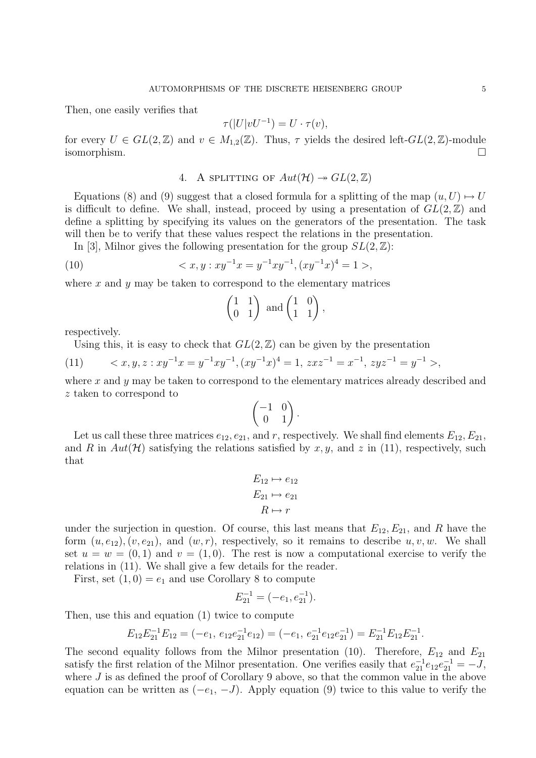Then, one easily verifies that

$$
\tau(|U|vU^{-1}) = U \cdot \tau(v),
$$

for every  $U \in GL(2,\mathbb{Z})$  and  $v \in M_{1,2}(\mathbb{Z})$ . Thus,  $\tau$  yields the desired left- $GL(2,\mathbb{Z})$ -module isomorphism.

4. A SPLITTING OF 
$$
Aut(\mathcal{H}) \rightarrow GL(2, \mathbb{Z})
$$

Equations (8) and (9) suggest that a closed formula for a splitting of the map  $(u, U) \mapsto U$ is difficult to define. We shall, instead, proceed by using a presentation of  $GL(2,\mathbb{Z})$  and define a splitting by specifying its values on the generators of the presentation. The task will then be to verify that these values respect the relations in the presentation.

In [3], Milnor gives the following presentation for the group  $SL(2,\mathbb{Z})$ :

(10) 
$$
\langle x, y : xy^{-1}x = y^{-1}xy^{-1}, (xy^{-1}x)^4 = 1 \rangle,
$$

where  $x$  and  $y$  may be taken to correspond to the elementary matrices

$$
\begin{pmatrix} 1 & 1 \ 0 & 1 \end{pmatrix} \text{ and } \begin{pmatrix} 1 & 0 \ 1 & 1 \end{pmatrix},
$$

respectively.

Using this, it is easy to check that  $GL(2,\mathbb{Z})$  can be given by the presentation

(11) 
$$
\langle x, y, z : xy^{-1}x = y^{-1}xy^{-1}, (xy^{-1}x)^4 = 1, zxz^{-1} = x^{-1}, zyz^{-1} = y^{-1} \rangle
$$
,

where  $x$  and  $y$  may be taken to correspond to the elementary matrices already described and z taken to correspond to

$$
\begin{pmatrix} -1 & 0 \\ 0 & 1 \end{pmatrix}.
$$

Let us call these three matrices  $e_{12}$ ,  $e_{21}$ , and r, respectively. We shall find elements  $E_{12}$ ,  $E_{21}$ , and R in  $Aut(\mathcal{H})$  satisfying the relations satisfied by x, y, and z in (11), respectively, such that

$$
E_{12} \mapsto e_{12}
$$
  

$$
E_{21} \mapsto e_{21}
$$
  

$$
R \mapsto r
$$

under the surjection in question. Of course, this last means that  $E_{12}, E_{21}$ , and R have the form  $(u, e_{12}), (v, e_{21}),$  and  $(w, r)$ , respectively, so it remains to describe  $u, v, w$ . We shall set  $u = w = (0, 1)$  and  $v = (1, 0)$ . The rest is now a computational exercise to verify the relations in (11). We shall give a few details for the reader.

First, set  $(1,0) = e_1$  and use Corollary 8 to compute

$$
E_{21}^{-1} = (-e_1, e_{21}^{-1}).
$$

Then, use this and equation (1) twice to compute

$$
E_{12}E_{21}^{-1}E_{12} = (-e_1, e_{12}e_{21}^{-1}e_{12}) = (-e_1, e_{21}^{-1}e_{12}e_{21}^{-1}) = E_{21}^{-1}E_{12}E_{21}^{-1}.
$$

The second equality follows from the Milnor presentation (10). Therefore,  $E_{12}$  and  $E_{21}$ satisfy the first relation of the Milnor presentation. One verifies easily that  $e_{21}^{-1}e_{12}e_{21}^{-1} = -J$ , where J is as defined the proof of Corollary 9 above, so that the common value in the above equation can be written as  $(-e_1, -J)$ . Apply equation (9) twice to this value to verify the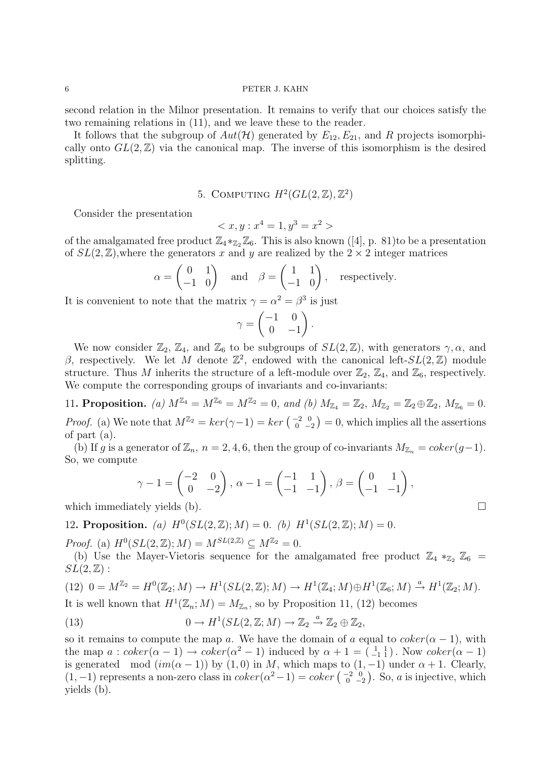second relation in the Milnor presentation. It remains to verify that our choices satisfy the two remaining relations in (11), and we leave these to the reader.

It follows that the subgroup of  $Aut(\mathcal{H})$  generated by  $E_{12}, E_{21}$ , and R projects isomorphically onto  $GL(2,\mathbb{Z})$  via the canonical map. The inverse of this isomorphism is the desired splitting.

5. COMPUTING 
$$
H^2(GL(2,\mathbb{Z}),\mathbb{Z}^2)
$$

Consider the presentation

$$
\langle x, y : x^4 = 1, y^3 = x^2 \rangle
$$

of the amalgamated free product  $\mathbb{Z}_4 *_{\mathbb{Z}_2} \mathbb{Z}_6$ . This is also known ([4], p. 81)to be a presentation of  $SL(2,\mathbb{Z})$ , where the generators x and y are realized by the  $2 \times 2$  integer matrices

$$
\alpha = \begin{pmatrix} 0 & 1 \\ -1 & 0 \end{pmatrix}
$$
 and  $\beta = \begin{pmatrix} 1 & 1 \\ -1 & 0 \end{pmatrix}$ , respectively.

It is convenient to note that the matrix  $\gamma = \alpha^2 = \beta^3$  is just

$$
\gamma = \begin{pmatrix} -1 & 0 \\ 0 & -1 \end{pmatrix}.
$$

We now consider  $\mathbb{Z}_2$ ,  $\mathbb{Z}_4$ , and  $\mathbb{Z}_6$  to be subgroups of  $SL(2,\mathbb{Z})$ , with generators  $\gamma$ ,  $\alpha$ , and β, respectively. We let M denote  $\mathbb{Z}^2$ , endowed with the canonical left- $SL(2,\mathbb{Z})$  module structure. Thus M inherits the structure of a left-module over  $\mathbb{Z}_2$ ,  $\mathbb{Z}_4$ , and  $\mathbb{Z}_6$ , respectively. We compute the corresponding groups of invariants and co-invariants:

11. Proposition. (a)  $M^{\mathbb{Z}_4} = M^{\mathbb{Z}_6} = M^{\mathbb{Z}_2} = 0$ , and (b)  $M_{\mathbb{Z}_4} = \mathbb{Z}_2$ ,  $M_{\mathbb{Z}_2} = \mathbb{Z}_2 \oplus \mathbb{Z}_2$ ,  $M_{\mathbb{Z}_6} = 0$ . *Proof.* (a) We note that  $M^{\mathbb{Z}_2} = \ker(\gamma - 1) = \ker\left(\begin{smallmatrix} -2 & 0 \\ 0 & -2 \end{smallmatrix}\right) = 0$ , which implies all the assertions of part (a).

(b) If g is a generator of  $\mathbb{Z}_n$ ,  $n = 2, 4, 6$ , then the group of co-invariants  $M_{\mathbb{Z}_n} = coker(g-1)$ . So, we compute

$$
\gamma - 1 = \begin{pmatrix} -2 & 0 \\ 0 & -2 \end{pmatrix}, \ \alpha - 1 = \begin{pmatrix} -1 & 1 \\ -1 & -1 \end{pmatrix}, \ \beta = \begin{pmatrix} 0 & 1 \\ -1 & -1 \end{pmatrix},
$$

which immediately yields (b).  $\Box$ 

12. Proposition. (a)  $H^0(SL(2,\mathbb{Z});M) = 0$ . (b)  $H^1(SL(2,\mathbb{Z});M) = 0$ .

*Proof.* (a)  $H^0(SL(2, \mathbb{Z}); M) = M^{SL(2, \mathbb{Z})} \subseteq M^{\mathbb{Z}_2} = 0.$ 

(b) Use the Mayer-Vietoris sequence for the amalgamated free product  $\mathbb{Z}_4 *_{\mathbb{Z}_2} \mathbb{Z}_6 =$  $SL(2,\mathbb{Z})$ :

$$
(12) \ \ 0=M^{\mathbb{Z}_2}=H^0(\mathbb{Z}_2;M)\longrightarrow H^1(SL(2,\mathbb{Z});M)\longrightarrow H^1(\mathbb{Z}_4;M)\oplus H^1(\mathbb{Z}_6;M)\stackrel{a}{\rightarrow}H^1(\mathbb{Z}_2;M).
$$

It is well known that  $H^1(\mathbb{Z}_n; M) = M_{\mathbb{Z}_n}$ , so by Proposition 11, (12) becomes

(13) 
$$
0 \to H^1(SL(2, \mathbb{Z}; M) \to \mathbb{Z}_2 \stackrel{a}{\to} \mathbb{Z}_2 \oplus \mathbb{Z}_2,
$$

so it remains to compute the map a. We have the domain of a equal to  $coker(\alpha - 1)$ , with the map  $a: coker(\alpha - 1) \rightarrow coker(\alpha^2 - 1)$  induced by  $\alpha + 1 = \begin{pmatrix} 1 & 1 \\ -1 & 1 \end{pmatrix}$ . Now  $coker(\alpha - 1)$ is generated mod  $(im(\alpha - 1))$  by  $(1, 0)$  in M, which maps to  $(1, -1)$  under  $\alpha + 1$ . Clearly,  $(1, -1)$  represents a non-zero class in  $coker(\alpha^{2}-1) = coker(\begin{smallmatrix} -2 & 0 \\ 0 & -2 \end{smallmatrix})$ . So, a is injective, which yields (b).